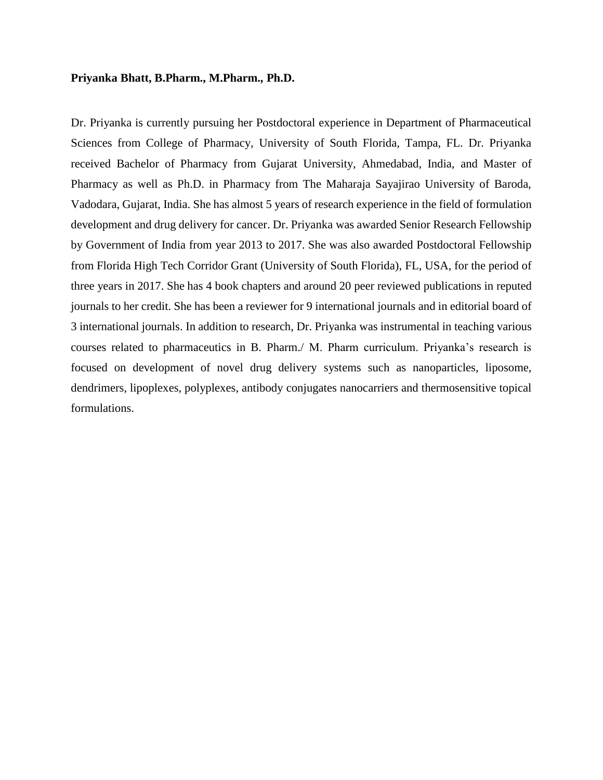#### **Priyanka Bhatt, B.Pharm., M.Pharm., Ph.D.**

Dr. Priyanka is currently pursuing her Postdoctoral experience in Department of Pharmaceutical Sciences from College of Pharmacy, University of South Florida, Tampa, FL. Dr. Priyanka received Bachelor of Pharmacy from Gujarat University, Ahmedabad, India, and Master of Pharmacy as well as Ph.D. in Pharmacy from The Maharaja Sayajirao University of Baroda, Vadodara, Gujarat, India. She has almost 5 years of research experience in the field of formulation development and drug delivery for cancer. Dr. Priyanka was awarded Senior Research Fellowship by Government of India from year 2013 to 2017. She was also awarded Postdoctoral Fellowship from Florida High Tech Corridor Grant (University of South Florida), FL, USA, for the period of three years in 2017. She has 4 book chapters and around 20 peer reviewed publications in reputed journals to her credit. She has been a reviewer for 9 international journals and in editorial board of 3 international journals. In addition to research, Dr. Priyanka was instrumental in teaching various courses related to pharmaceutics in B. Pharm./ M. Pharm curriculum. Priyanka's research is focused on development of novel drug delivery systems such as nanoparticles, liposome, dendrimers, lipoplexes, polyplexes, antibody conjugates nanocarriers and thermosensitive topical formulations.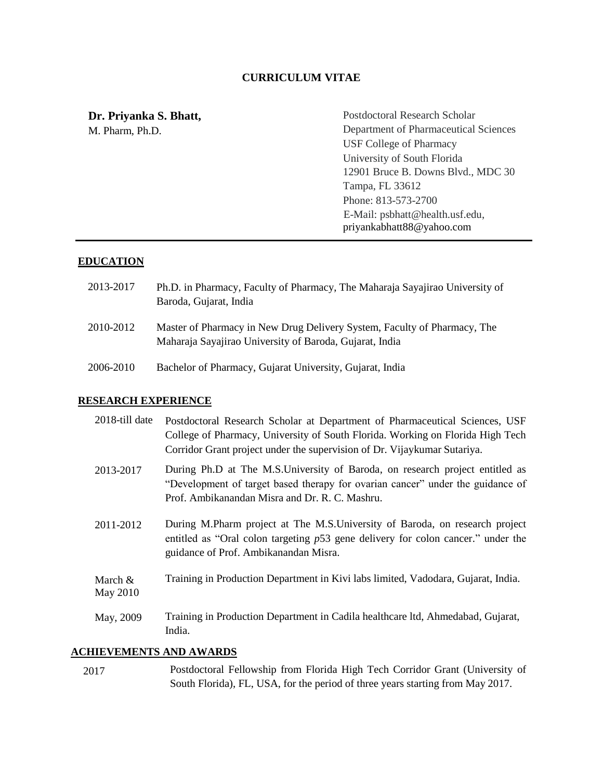#### **CURRICULUM VITAE**

# **Dr. Priyanka S. Bhatt,**

M. Pharm, Ph.D.

Postdoctoral Research Scholar Department of Pharmaceutical Sciences USF College of Pharmacy University of South Florida 12901 Bruce B. Downs Blvd., MDC 30 Tampa, FL 33612 Phone: 813-573-2700 E-Mail: [psbhatt@health.usf.edu,](mailto:psbhatt@health.usf.edu) [priyankabhatt88@yahoo.com](mailto:priyankabhatt88@yahoo.com)

## **EDUCATION**

- 2013-2017 Ph.D. in Pharmacy, Faculty of Pharmacy, The Maharaja Sayajirao University of Baroda, Gujarat, India
- 2010-2012 Master of Pharmacy in New Drug Delivery System, Faculty of Pharmacy, The Maharaja Sayajirao University of Baroda, Gujarat, India
- 2006-2010 Bachelor of Pharmacy, Gujarat University, Gujarat, India

#### **RESEARCH EXPERIENCE**

| 2018-till date                 | Postdoctoral Research Scholar at Department of Pharmaceutical Sciences, USF<br>College of Pharmacy, University of South Florida. Working on Florida High Tech<br>Corridor Grant project under the supervision of Dr. Vijaykumar Sutariya. |  |
|--------------------------------|-------------------------------------------------------------------------------------------------------------------------------------------------------------------------------------------------------------------------------------------|--|
| 2013-2017                      | During Ph.D at The M.S. University of Baroda, on research project entitled as<br>"Development of target based therapy for ovarian cancer" under the guidance of<br>Prof. Ambikanandan Misra and Dr. R. C. Mashru.                         |  |
| 2011-2012                      | During M.Pharm project at The M.S.University of Baroda, on research project<br>entitled as "Oral colon targeting $p53$ gene delivery for colon cancer." under the<br>guidance of Prof. Ambikanandan Misra.                                |  |
| March $\&$<br>May 2010         | Training in Production Department in Kivi labs limited, Vadodara, Gujarat, India.                                                                                                                                                         |  |
| May, 2009                      | Training in Production Department in Cadila healthcare ltd, Ahmedabad, Gujarat,<br>India.                                                                                                                                                 |  |
| <b>ACHIEVEMENTS AND AWARDS</b> |                                                                                                                                                                                                                                           |  |

# 2017 Postdoctoral Fellowship from Florida High Tech Corridor Grant (University of South Florida), FL, USA, for the period of three years starting from May 2017.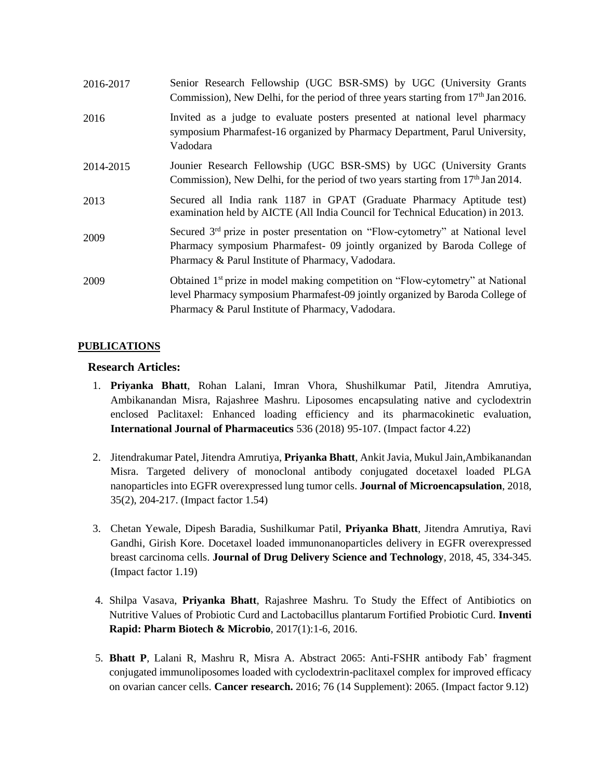| 2016-2017 | Senior Research Fellowship (UGC BSR-SMS) by UGC (University Grants<br>Commission), New Delhi, for the period of three years starting from 17 <sup>th</sup> Jan 2016.                                                             |
|-----------|----------------------------------------------------------------------------------------------------------------------------------------------------------------------------------------------------------------------------------|
| 2016      | Invited as a judge to evaluate posters presented at national level pharmacy<br>symposium Pharmafest-16 organized by Pharmacy Department, Parul University,<br>Vadodara                                                           |
| 2014-2015 | Jounier Research Fellowship (UGC BSR-SMS) by UGC (University Grants<br>Commission), New Delhi, for the period of two years starting from $17th$ Jan 2014.                                                                        |
| 2013      | Secured all India rank 1187 in GPAT (Graduate Pharmacy Aptitude test)<br>examination held by AICTE (All India Council for Technical Education) in 2013.                                                                          |
| 2009      | Secured 3 <sup>rd</sup> prize in poster presentation on "Flow-cytometry" at National level<br>Pharmacy symposium Pharmafest- 09 jointly organized by Baroda College of<br>Pharmacy & Parul Institute of Pharmacy, Vadodara.      |
| 2009      | Obtained 1 <sup>st</sup> prize in model making competition on "Flow-cytometry" at National<br>level Pharmacy symposium Pharmafest-09 jointly organized by Baroda College of<br>Pharmacy & Parul Institute of Pharmacy, Vadodara. |

#### **PUBLICATIONS**

#### **Research Articles:**

- 1. **Priyanka Bhatt**, Rohan Lalani, Imran Vhora, Shushilkumar Patil, Jitendra Amrutiya, Ambikanandan Misra, Rajashree Mashru. Liposomes encapsulating native and cyclodextrin enclosed Paclitaxel: Enhanced loading efficiency and its pharmacokinetic evaluation, **International Journal of Pharmaceutics** 536 (2018) 95-107. (Impact factor 4.22)
- 2. Jitendrakumar Patel, Jitendra Amrutiya, **Priyanka Bhatt**, Ankit Javia, Mukul Jain,Ambikanandan Misra. Targeted delivery of monoclonal antibody conjugated docetaxel loaded PLGA nanoparticles into EGFR overexpressed lung tumor cells. **Journal of Microencapsulation**, 2018, 35(2), 204-217. (Impact factor 1.54)
- 3. Chetan Yewale, Dipesh Baradia, Sushilkumar Patil, **Priyanka Bhatt**, Jitendra Amrutiya, Ravi Gandhi, Girish Kore. Docetaxel loaded immunonanoparticles delivery in EGFR overexpressed breast carcinoma cells. **Journal of Drug Delivery Science and Technology**, 2018, 45, 334-345. (Impact factor 1.19)
- 4. Shilpa Vasava, **Priyanka Bhatt**, Rajashree Mashru. To Study the Effect of Antibiotics on Nutritive Values of Probiotic Curd and Lactobacillus plantarum Fortified Probiotic Curd. **Inventi Rapid: Pharm Biotech & Microbio**, 2017(1):1-6, 2016.
- 5. **Bhatt P**, Lalani R, Mashru R, Misra A. Abstract 2065: Anti-FSHR antibody Fab' fragment conjugated immunoliposomes loaded with cyclodextrin-paclitaxel complex for improved efficacy on ovarian cancer cells. **Cancer research.** 2016; 76 (14 Supplement): 2065. (Impact factor 9.12)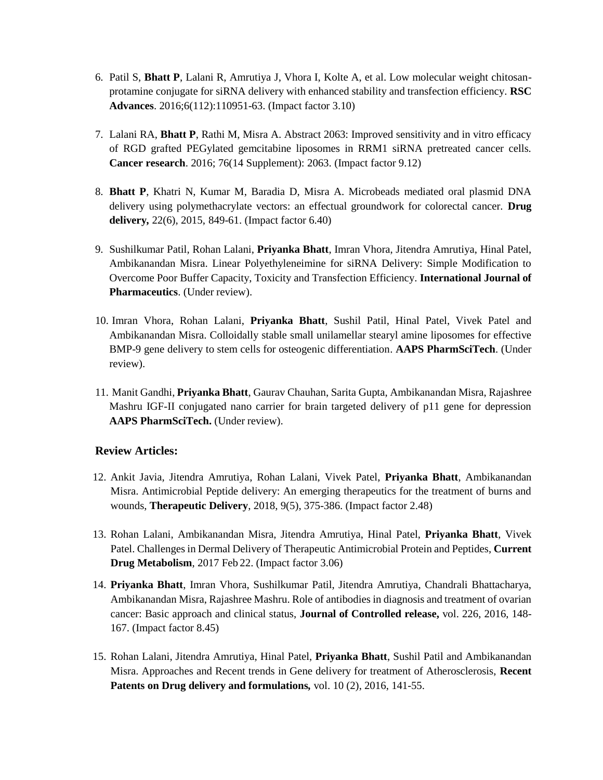- 6. Patil S, **Bhatt P**, Lalani R, Amrutiya J, Vhora I, Kolte A, et al. Low molecular weight chitosanprotamine conjugate for siRNA delivery with enhanced stability and transfection efficiency. **RSC Advances**. 2016;6(112):110951-63. (Impact factor 3.10)
- 7. Lalani RA, **Bhatt P**, Rathi M, Misra A. Abstract 2063: Improved sensitivity and in vitro efficacy of RGD grafted PEGylated gemcitabine liposomes in RRM1 siRNA pretreated cancer cells. **Cancer research**. 2016; 76(14 Supplement): 2063. (Impact factor 9.12)
- 8. **Bhatt P**, Khatri N, Kumar M, Baradia D, Misra A. Microbeads mediated oral plasmid DNA delivery using polymethacrylate vectors: an effectual groundwork for colorectal cancer. **Drug delivery***,* 22(6), 2015, 849-61. (Impact factor 6.40)
- 9. Sushilkumar Patil, Rohan Lalani, **Priyanka Bhatt**, Imran Vhora, Jitendra Amrutiya, Hinal Patel, Ambikanandan Misra. Linear Polyethyleneimine for siRNA Delivery: Simple Modification to Overcome Poor Buffer Capacity, Toxicity and Transfection Efficiency. **International Journal of Pharmaceutics**. (Under review).
- 10. Imran Vhora, Rohan Lalani, **Priyanka Bhatt**, Sushil Patil, Hinal Patel, Vivek Patel and Ambikanandan Misra. Colloidally stable small unilamellar stearyl amine liposomes for effective BMP-9 gene delivery to stem cells for osteogenic differentiation. **AAPS PharmSciTech**. (Under review).
- 11. Manit Gandhi, **Priyanka Bhatt**, Gaurav Chauhan, Sarita Gupta, Ambikanandan Misra, Rajashree Mashru IGF-II conjugated nano carrier for brain targeted delivery of p11 gene for depression AAPS PharmSciTech. (Under review).

## **Review Articles:**

- 12. Ankit Javia, Jitendra Amrutiya, Rohan Lalani, Vivek Patel, **Priyanka Bhatt**, Ambikanandan Misra. Antimicrobial Peptide delivery: An emerging therapeutics for the treatment of burns and wounds, **Therapeutic Delivery**, 2018, 9(5), 375-386. (Impact factor 2.48)
- 13. Rohan Lalani, Ambikanandan Misra, Jitendra Amrutiya, Hinal Patel, **Priyanka Bhatt**, Vivek Patel. Challenges in Dermal Delivery of Therapeutic Antimicrobial Protein and Peptides, **Current Drug Metabolism**, 2017 Feb 22. (Impact factor 3.06)
- 14. **Priyanka Bhatt**, Imran Vhora, Sushilkumar Patil, Jitendra Amrutiya, Chandrali Bhattacharya, Ambikanandan Misra, Rajashree Mashru. Role of antibodies in diagnosis and treatment of ovarian cancer: Basic approach and clinical status, **Journal of Controlled release,** vol. 226, 2016, 148- 167. (Impact factor 8.45)
- 15. Rohan Lalani, Jitendra Amrutiya, Hinal Patel, **Priyanka Bhatt**, Sushil Patil and Ambikanandan Misra. Approaches and Recent trends in Gene delivery for treatment of Atherosclerosis, **Recent Patents on Drug delivery and formulations***,* vol. 10 (2), 2016, 141-55.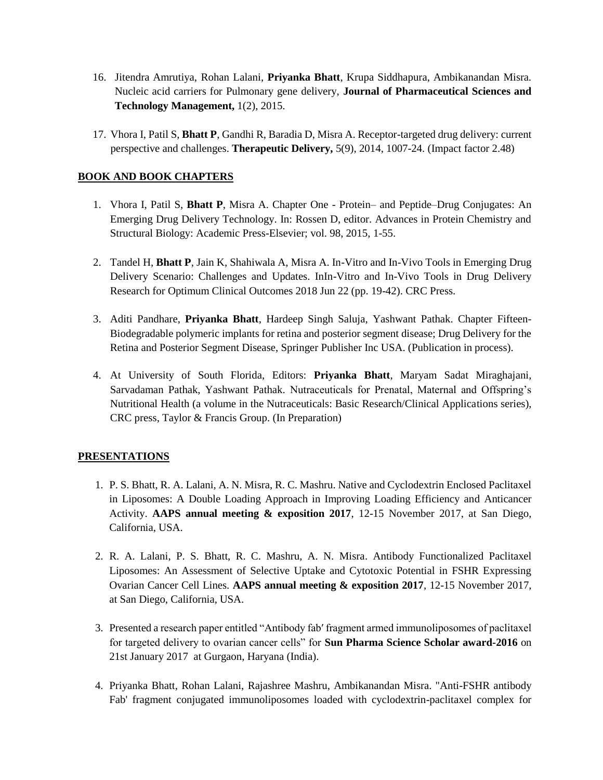- 16. Jitendra Amrutiya, Rohan Lalani, **Priyanka Bhatt**, Krupa Siddhapura, Ambikanandan Misra. Nucleic acid carriers for Pulmonary gene delivery, **Journal of Pharmaceutical Sciences and Technology Management,** 1(2), 2015.
- 17. Vhora I, Patil S, **Bhatt P**, Gandhi R, Baradia D, Misra A. Receptor-targeted drug delivery: current perspective and challenges. **Therapeutic Delivery,** 5(9), 2014, 1007-24. (Impact factor 2.48)

## **BOOK AND BOOK CHAPTERS**

- 1. Vhora I, Patil S, **Bhatt P**, Misra A. Chapter One Protein– and Peptide–Drug Conjugates: An Emerging Drug Delivery Technology. In: Rossen D, editor. Advances in Protein Chemistry and Structural Biology: Academic Press-Elsevier; vol. 98, 2015, 1-55.
- 2. Tandel H, **Bhatt P**, Jain K, Shahiwala A, Misra A. In-Vitro and In-Vivo Tools in Emerging Drug Delivery Scenario: Challenges and Updates. InIn-Vitro and In-Vivo Tools in Drug Delivery Research for Optimum Clinical Outcomes 2018 Jun 22 (pp. 19-42). CRC Press.
- 3. Aditi Pandhare, **Priyanka Bhatt**, Hardeep Singh Saluja, Yashwant Pathak. Chapter Fifteen-Biodegradable polymeric implants for retina and posterior segment disease; Drug Delivery for the Retina and Posterior Segment Disease, Springer Publisher Inc USA. (Publication in process).
- 4. At University of South Florida, Editors: **Priyanka Bhatt**, Maryam Sadat Miraghajani, Sarvadaman Pathak, Yashwant Pathak. Nutraceuticals for Prenatal, Maternal and Offspring's Nutritional Health (a volume in the Nutraceuticals: Basic Research/Clinical Applications series), CRC press, Taylor & Francis Group. (In Preparation)

## **PRESENTATIONS**

- 1. P. S. Bhatt, R. A. Lalani, A. N. Misra, R. C. Mashru. Native and Cyclodextrin Enclosed Paclitaxel in Liposomes: A Double Loading Approach in Improving Loading Efficiency and Anticancer Activity. **AAPS annual meeting & exposition 2017**, 12-15 November 2017, at San Diego, California, USA.
- 2. R. A. Lalani, P. S. Bhatt, R. C. Mashru, A. N. Misra. Antibody Functionalized Paclitaxel Liposomes: An Assessment of Selective Uptake and Cytotoxic Potential in FSHR Expressing Ovarian Cancer Cell Lines. **AAPS annual meeting & exposition 2017**, 12-15 November 2017, at San Diego, California, USA.
- 3. Presented a research paper entitled "Antibody fabʹ fragment armed immunoliposomes of paclitaxel for targeted delivery to ovarian cancer cells" for **Sun Pharma Science Scholar award-2016** on 21st January 2017 at Gurgaon, Haryana (India).
- 4. Priyanka Bhatt, Rohan Lalani, Rajashree Mashru, Ambikanandan Misra. "Anti-FSHR antibody Fab' fragment conjugated immunoliposomes loaded with cyclodextrin-paclitaxel complex for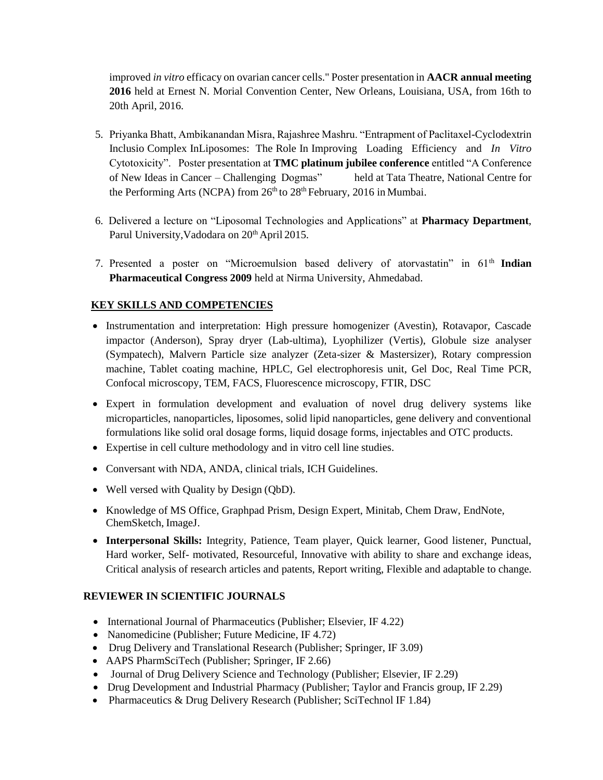improved *in vitro* efficacy on ovarian cancer cells." Poster presentation in **AACR annual meeting 2016** held at Ernest N. Morial Convention Center, New Orleans, Louisiana, USA, from 16th to 20th April, 2016.

- 5. Priyanka Bhatt, Ambikanandan Misra, Rajashree Mashru. "Entrapment of Paclitaxel-Cyclodextrin Inclusio Complex InLiposomes: The Role In Improving Loading Efficiency and *In Vitro*  Cytotoxicity". Poster presentation at **TMC platinum jubilee conference** entitled "A Conference of New Ideas in Cancer – Challenging Dogmas" held at Tata Theatre, National Centre for the Performing Arts (NCPA) from  $26<sup>th</sup>$  to  $28<sup>th</sup>$  February, 2016 in Mumbai.
- 6. Delivered a lecture on "Liposomal Technologies and Applications" at **Pharmacy Department**, Parul University, Vadodara on 20<sup>th</sup> April 2015.
- 7. Presented a poster on "Microemulsion based delivery of atorvastatin" in 61<sup>th</sup> Indian **Pharmaceutical Congress 2009** held at Nirma University, Ahmedabad.

## **KEY SKILLS AND COMPETENCIES**

- Instrumentation and interpretation: High pressure homogenizer (Avestin), Rotavapor, Cascade impactor (Anderson), Spray dryer (Lab-ultima), Lyophilizer (Vertis), Globule size analyser (Sympatech), Malvern Particle size analyzer (Zeta-sizer & Mastersizer), Rotary compression machine, Tablet coating machine, HPLC, Gel electrophoresis unit, Gel Doc, Real Time PCR, Confocal microscopy, TEM, FACS, Fluorescence microscopy, FTIR, DSC
- Expert in formulation development and evaluation of novel drug delivery systems like microparticles, nanoparticles, liposomes, solid lipid nanoparticles, gene delivery and conventional formulations like solid oral dosage forms, liquid dosage forms, injectables and OTC products.
- Expertise in cell culture methodology and in vitro cell line studies.
- Conversant with NDA, ANDA, clinical trials, ICH Guidelines.
- Well versed with Quality by Design (QbD).
- Knowledge of MS Office, Graphpad Prism, Design Expert, Minitab, Chem Draw, EndNote, ChemSketch, ImageJ.
- **Interpersonal Skills:** Integrity, Patience, Team player, Quick learner, Good listener, Punctual, Hard worker, Self- motivated, Resourceful, Innovative with ability to share and exchange ideas, Critical analysis of research articles and patents, Report writing, Flexible and adaptable to change.

## **REVIEWER IN SCIENTIFIC JOURNALS**

- International Journal of Pharmaceutics (Publisher; Elsevier, IF 4.22)
- Nanomedicine (Publisher; Future Medicine, IF 4.72)
- Drug Delivery and Translational Research (Publisher; Springer, IF 3.09)
- AAPS PharmSciTech (Publisher; Springer, IF 2.66)
- Journal of Drug Delivery Science and Technology (Publisher; Elsevier, IF 2.29)
- Drug Development and Industrial Pharmacy (Publisher; Taylor and Francis group, IF 2.29)
- Pharmaceutics & Drug Delivery Research (Publisher; SciTechnol IF 1.84)